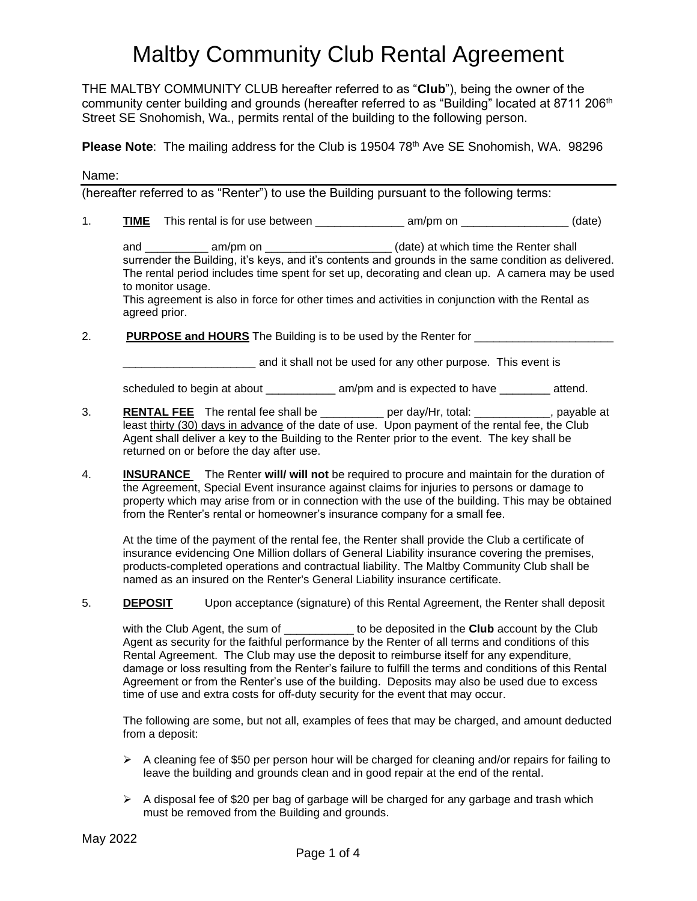THE MALTBY COMMUNITY CLUB hereafter referred to as "**Club**"), being the owner of the community center building and grounds (hereafter referred to as "Building" located at 8711 206<sup>th</sup> Street SE Snohomish, Wa., permits rental of the building to the following person.

**Please Note**: The mailing address for the Club is 19504 78<sup>th</sup> Ave SE Snohomish, WA. 98296

Name:

(hereafter referred to as "Renter") to use the Building pursuant to the following terms:

1. **TIME** This rental is for use between \_\_\_\_\_\_\_\_\_\_\_\_\_\_ am/pm on \_\_\_\_\_\_\_\_\_\_\_\_\_\_\_\_\_ (date)

and \_\_\_\_\_\_\_\_\_\_ am/pm on \_\_\_\_\_\_\_\_\_\_\_\_\_\_\_\_\_\_\_\_\_(date) at which time the Renter shall surrender the Building, it's keys, and it's contents and grounds in the same condition as delivered. The rental period includes time spent for set up, decorating and clean up. A camera may be used to monitor usage.

This agreement is also in force for other times and activities in conjunction with the Rental as agreed prior.

2. **PURPOSE and HOURS** The Building is to be used by the Renter for \_\_\_\_\_\_\_\_\_\_\_\_\_\_\_\_\_\_\_\_\_\_

**\_\_\_\_\_\_\_\_\_\_\_\_\_\_** and it shall not be used for any other purpose. This event is

scheduled to begin at about \_\_\_\_\_\_\_\_\_\_\_\_\_ am/pm and is expected to have \_\_\_\_\_\_\_\_ attend.

- 3. **RENTAL FEE** The rental fee shall be \_\_\_\_\_\_\_\_\_\_ per day/Hr, total: \_\_\_\_\_\_\_\_\_\_\_\_, payable at least thirty (30) days in advance of the date of use. Upon payment of the rental fee, the Club Agent shall deliver a key to the Building to the Renter prior to the event. The key shall be returned on or before the day after use.
- 4. **INSURANCE** The Renter **will/ will not** be required to procure and maintain for the duration of the Agreement, Special Event insurance against claims for injuries to persons or damage to property which may arise from or in connection with the use of the building. This may be obtained from the Renter's rental or homeowner's insurance company for a small fee.

At the time of the payment of the rental fee, the Renter shall provide the Club a certificate of insurance evidencing One Million dollars of General Liability insurance covering the premises, products-completed operations and contractual liability. The Maltby Community Club shall be named as an insured on the Renter's General Liability insurance certificate.

5. **DEPOSIT** Upon acceptance (signature) of this Rental Agreement, the Renter shall deposit

with the Club Agent, the sum of \_\_\_\_\_\_\_\_\_\_\_ to be deposited in the **Club** account by the Club Agent as security for the faithful performance by the Renter of all terms and conditions of this Rental Agreement. The Club may use the deposit to reimburse itself for any expenditure, damage or loss resulting from the Renter's failure to fulfill the terms and conditions of this Rental Agreement or from the Renter's use of the building. Deposits may also be used due to excess time of use and extra costs for off-duty security for the event that may occur.

The following are some, but not all, examples of fees that may be charged, and amount deducted from a deposit:

- $\triangleright$  A cleaning fee of \$50 per person hour will be charged for cleaning and/or repairs for failing to leave the building and grounds clean and in good repair at the end of the rental.
- $\triangleright$  A disposal fee of \$20 per bag of garbage will be charged for any garbage and trash which must be removed from the Building and grounds.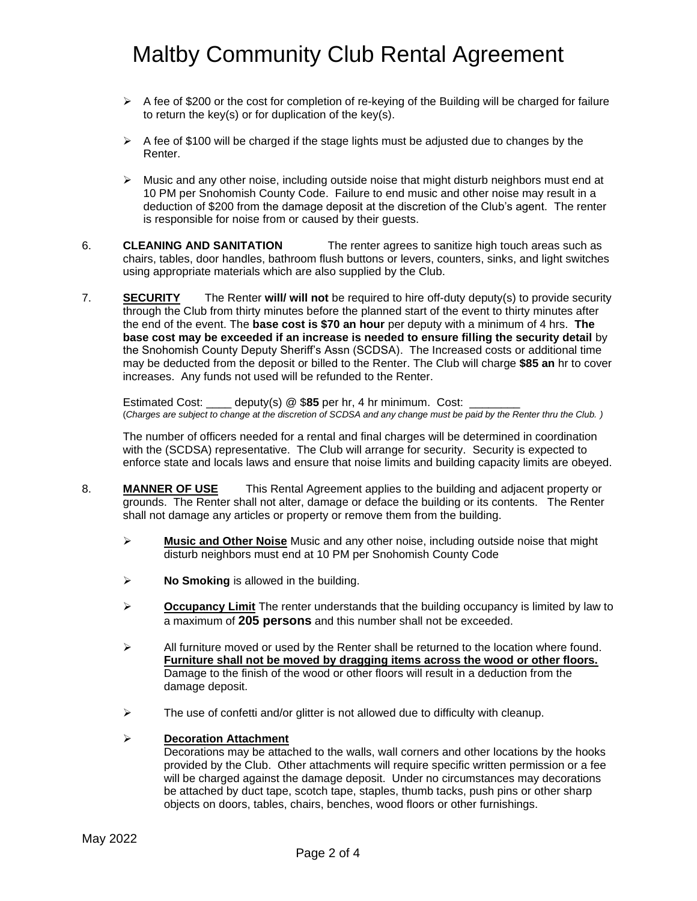- $\triangleright$  A fee of \$200 or the cost for completion of re-keying of the Building will be charged for failure to return the key(s) or for duplication of the key(s).
- $\triangleright$  A fee of \$100 will be charged if the stage lights must be adjusted due to changes by the Renter.
- $\triangleright$  Music and any other noise, including outside noise that might disturb neighbors must end at 10 PM per Snohomish County Code. Failure to end music and other noise may result in a deduction of \$200 from the damage deposit at the discretion of the Club's agent. The renter is responsible for noise from or caused by their guests.
- 6. **CLEANING AND SANITATION** The renter agrees to sanitize high touch areas such as chairs, tables, door handles, bathroom flush buttons or levers, counters, sinks, and light switches using appropriate materials which are also supplied by the Club.
- 7. **SECURITY** The Renter **will/ will not** be required to hire off-duty deputy(s) to provide security through the Club from thirty minutes before the planned start of the event to thirty minutes after the end of the event. The **base cost is \$70 an hour** per deputy with a minimum of 4 hrs. **The base cost may be exceeded if an increase is needed to ensure filling the security detail** by the Snohomish County Deputy Sheriff's Assn (SCDSA). The Increased costs or additional time may be deducted from the deposit or billed to the Renter. The Club will charge **\$85 an** hr to cover increases. Any funds not used will be refunded to the Renter.

Estimated Cost: \_\_\_\_ deputy(s) @ \$**85** per hr, 4 hr minimum. Cost: \_\_\_\_\_\_\_\_ (*Charges are subject to change at the discretion of SCDSA and any change must be paid by the Renter thru the Club. )*

The number of officers needed for a rental and final charges will be determined in coordination with the (SCDSA) representative. The Club will arrange for security. Security is expected to enforce state and locals laws and ensure that noise limits and building capacity limits are obeyed.

- 8. **MANNER OF USE** This Rental Agreement applies to the building and adjacent property or grounds. The Renter shall not alter, damage or deface the building or its contents. The Renter shall not damage any articles or property or remove them from the building.
	- ➢ **Music and Other Noise** Music and any other noise, including outside noise that might disturb neighbors must end at 10 PM per Snohomish County Code
	- ➢ **No Smoking** is allowed in the building.
	- ➢ **Occupancy Limit** The renter understands that the building occupancy is limited by law to a maximum of **205 persons** and this number shall not be exceeded.
	- $\triangleright$  All furniture moved or used by the Renter shall be returned to the location where found. **Furniture shall not be moved by dragging items across the wood or other floors.** Damage to the finish of the wood or other floors will result in a deduction from the damage deposit.
	- $\triangleright$  The use of confetti and/or glitter is not allowed due to difficulty with cleanup.

#### ➢ **Decoration Attachment**

Decorations may be attached to the walls, wall corners and other locations by the hooks provided by the Club. Other attachments will require specific written permission or a fee will be charged against the damage deposit. Under no circumstances may decorations be attached by duct tape, scotch tape, staples, thumb tacks, push pins or other sharp objects on doors, tables, chairs, benches, wood floors or other furnishings.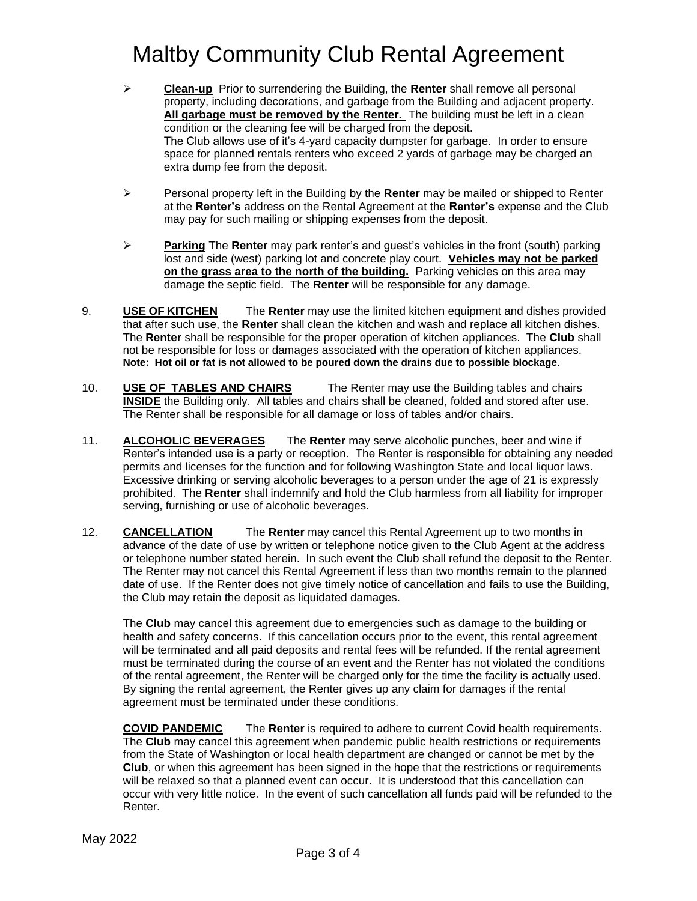- ➢ **Clean-up** Prior to surrendering the Building, the **Renter** shall remove all personal property, including decorations, and garbage from the Building and adjacent property. **All garbage must be removed by the Renter.** The building must be left in a clean condition or the cleaning fee will be charged from the deposit. The Club allows use of it's 4-yard capacity dumpster for garbage. In order to ensure space for planned rentals renters who exceed 2 yards of garbage may be charged an extra dump fee from the deposit.
- ➢ Personal property left in the Building by the **Renter** may be mailed or shipped to Renter at the **Renter's** address on the Rental Agreement at the **Renter's** expense and the Club may pay for such mailing or shipping expenses from the deposit.
- ➢ **Parking** The **Renter** may park renter's and guest's vehicles in the front (south) parking lost and side (west) parking lot and concrete play court. **Vehicles may not be parked on the grass area to the north of the building.** Parking vehicles on this area may damage the septic field. The **Renter** will be responsible for any damage.
- 9. **USE OF KITCHEN** The **Renter** may use the limited kitchen equipment and dishes provided that after such use, the **Renter** shall clean the kitchen and wash and replace all kitchen dishes. The **Renter** shall be responsible for the proper operation of kitchen appliances. The **Club** shall not be responsible for loss or damages associated with the operation of kitchen appliances. **Note: Hot oil or fat is not allowed to be poured down the drains due to possible blockage**.
- 10. **USE OF TABLES AND CHAIRS** The Renter may use the Building tables and chairs **INSIDE** the Building only. All tables and chairs shall be cleaned, folded and stored after use. The Renter shall be responsible for all damage or loss of tables and/or chairs.
- 11. **ALCOHOLIC BEVERAGES** The **Renter** may serve alcoholic punches, beer and wine if Renter's intended use is a party or reception. The Renter is responsible for obtaining any needed permits and licenses for the function and for following Washington State and local liquor laws. Excessive drinking or serving alcoholic beverages to a person under the age of 21 is expressly prohibited. The **Renter** shall indemnify and hold the Club harmless from all liability for improper serving, furnishing or use of alcoholic beverages.
- 12. **CANCELLATION** The **Renter** may cancel this Rental Agreement up to two months in advance of the date of use by written or telephone notice given to the Club Agent at the address or telephone number stated herein. In such event the Club shall refund the deposit to the Renter. The Renter may not cancel this Rental Agreement if less than two months remain to the planned date of use. If the Renter does not give timely notice of cancellation and fails to use the Building, the Club may retain the deposit as liquidated damages.

The **Club** may cancel this agreement due to emergencies such as damage to the building or health and safety concerns. If this cancellation occurs prior to the event, this rental agreement will be terminated and all paid deposits and rental fees will be refunded. If the rental agreement must be terminated during the course of an event and the Renter has not violated the conditions of the rental agreement, the Renter will be charged only for the time the facility is actually used. By signing the rental agreement, the Renter gives up any claim for damages if the rental agreement must be terminated under these conditions.

**COVID PANDEMIC** The **Renter** is required to adhere to current Covid health requirements. The **Club** may cancel this agreement when pandemic public health restrictions or requirements from the State of Washington or local health department are changed or cannot be met by the **Club**, or when this agreement has been signed in the hope that the restrictions or requirements will be relaxed so that a planned event can occur. It is understood that this cancellation can occur with very little notice. In the event of such cancellation all funds paid will be refunded to the Renter.